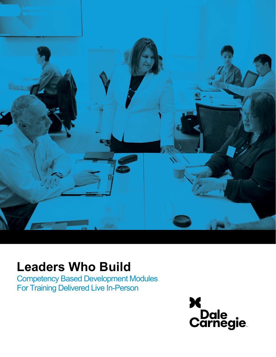

# Leaders Who Build

Competency Based Development Modules For Training Delivered Live In-Person

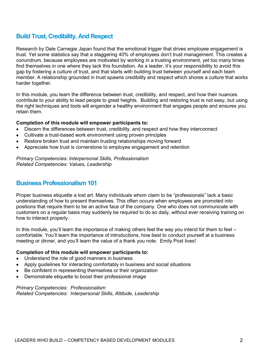### Build Trust, Credibility, And Respect

Research by Dale Carnegie Japan found that the emotional trigger that drives employee engagement is trust. Yet some statistics say that a staggering 40% of employees don't trust management. This creates a conundrum, because employees are motivated by working in a trusting environment, yet too many times find themselves in one where they lack this foundation. As a leader, it's your responsibility to avoid this gap by fostering a culture of trust, and that starts with building trust between yourself and each team member. A relationship grounded in trust spawns credibility and respect which shores a culture that works harder together.

In this module, you learn the difference between trust, credibility, and respect, and how their nuances contribute to your ability to lead people to great heights. Building and restoring trust is not easy, but using the right techniques and tools will engender a healthy environment that engages people and ensures you retain them.

#### Completion of this module will empower participants to:

- Discern the differences between trust, credibility, and respect and how they interconnect
- Cultivate a trust-based work environment using proven principles
- Restore broken trust and maintain trusting relationships moving forward
- Appreciate how trust is cornerstone to employee engagement and retention

Primary Competencies: Interpersonal Skills, Professionalism Related Competencies: Values, Leadership

### Business Professionalism 101

Proper business etiquette a lost art. Many individuals whom claim to be "professionals" lack a basic understanding of how to present themselves. This often occurs when employees are promoted into positions that require them to be an active face of the company. One who does not communicate with customers on a regular basis may suddenly be required to do so daily, without ever receiving training on how to interact properly.

In this module, you'll learn the importance of making others feel the way you intend for them to feel – comfortable. You'll learn the importance of introductions, how best to conduct yourself at a business meeting or dinner, and you'll learn the value of a thank you note. Emily Post lives!

#### Completion of this module will empower participants to:

- Understand the role of good manners in business
- Apply guidelines for interacting comfortably in business and social situations
- Be confident in representing themselves or their organization
- Demonstrate etiquette to boost their professional image

#### Primary Competencies: Professionalism Related Competencies: Interpersonal Skills, Attitude, Leadership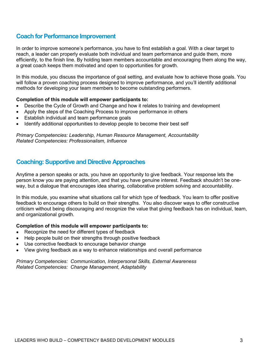### Coach for Performance Improvement

In order to improve someone's performance, you have to first establish a goal. With a clear target to reach, a leader can properly evaluate both individual and team performance and guide them, more efficiently, to the finish line. By holding team members accountable and encouraging them along the way, a great coach keeps them motivated and open to opportunities for growth.

In this module, you discuss the importance of goal setting, and evaluate how to achieve those goals. You will follow a proven coaching process designed to improve performance, and you'll identify additional methods for developing your team members to become outstanding performers.

### Completion of this module will empower participants to:

- Describe the Cycle of Growth and Change and how it relates to training and development
- Apply the steps of the Coaching Process to improve performance in others
- Establish individual and team performance goals
- Identify additional opportunities to develop people to become their best self

Primary Competencies: Leadership, Human Resource Management, Accountability Related Competencies: Professionalism, Influence

### Coaching: Supportive and Directive Approaches

Anytime a person speaks or acts, you have an opportunity to give feedback. Your response lets the person know you are paying attention, and that you have genuine interest. Feedback shouldn't be oneway, but a dialogue that encourages idea sharing, collaborative problem solving and accountability.

In this module, you examine what situations call for which type of feedback. You learn to offer positive feedback to encourage others to build on their strengths. You also discover ways to offer constructive criticism without being discouraging and recognize the value that giving feedback has on individual, team, and organizational growth.

#### Completion of this module will empower participants to:

- Recognize the need for different types of feedback
- Help people build on their strengths through positive feedback
- Use corrective feedback to encourage behavior change
- View giving feedback as a way to enhance relationships and overall performance

Primary Competencies: Communication, Interpersonal Skills, External Awareness Related Competencies: Change Management, Adaptability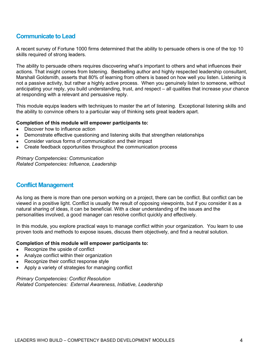# Communicate to Lead

A recent survey of Fortune 1000 firms determined that the ability to persuade others is one of the top 10 skills required of strong leaders.

The ability to persuade others requires discovering what's important to others and what influences their actions. That insight comes from listening. Bestselling author and highly respected leadership consultant, Marshall Goldsmith, asserts that 80% of learning from others is based on how well you listen. Listening is not a passive activity, but rather a highly active process. When you genuinely listen to someone, without anticipating your reply, you build understanding, trust, and respect – all qualities that increase your chance at responding with a relevant and persuasive reply.

This module equips leaders with techniques to master the art of listening. Exceptional listening skills and the ability to convince others to a particular way of thinking sets great leaders apart.

### Completion of this module will empower participants to:

- Discover how to influence action
- Demonstrate effective questioning and listening skills that strengthen relationships
- Consider various forms of communication and their impact
- Create feedback opportunities throughout the communication process

Primary Competencies: Communication Related Competencies: Influence, Leadership

### Conflict Management

As long as there is more than one person working on a project, there can be conflict. But conflict can be viewed in a positive light. Conflict is usually the result of opposing viewpoints, but if you consider it as a natural sharing of ideas, it can be beneficial. With a clear understanding of the issues and the personalities involved, a good manager can resolve conflict quickly and effectively.

In this module, you explore practical ways to manage conflict within your organization. You learn to use proven tools and methods to expose issues, discuss them objectively, and find a neutral solution.

#### Completion of this module will empower participants to:

- Recognize the upside of conflict
- Analyze conflict within their organization
- Recognize their conflict response style
- Apply a variety of strategies for managing conflict

Primary Competencies: Conflict Resolution Related Competencies: External Awareness, Initiative, Leadership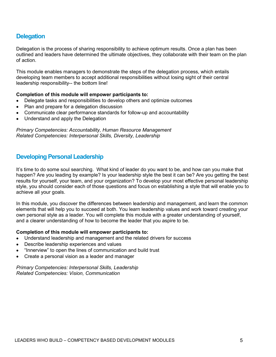# **Delegation**

Delegation is the process of sharing responsibility to achieve optimum results. Once a plan has been outlined and leaders have determined the ultimate objectives, they collaborate with their team on the plan of action.

This module enables managers to demonstrate the steps of the delegation process, which entails developing team members to accept additional responsibilities without losing sight of their central leadership responsibility-- the bottom line!

### Completion of this module will empower participants to:

- Delegate tasks and responsibilities to develop others and optimize outcomes
- Plan and prepare for a delegation discussion
- Communicate clear performance standards for follow-up and accountability
- Understand and apply the Delegation

Primary Competencies: Accountability, Human Resource Management Related Competencies: Interpersonal Skills, Diversity, Leadership

# Developing Personal Leadership

It's time to do some soul searching. What kind of leader do you want to be, and how can you make that happen? Are you leading by example? Is your leadership style the best it can be? Are you getting the best results for yourself, your team, and your organization? To develop your most effective personal leadership style, you should consider each of those questions and focus on establishing a style that will enable you to achieve all your goals.

In this module, you discover the differences between leadership and management, and learn the common elements that will help you to succeed at both. You learn leadership values and work toward creating your own personal style as a leader. You will complete this module with a greater understanding of yourself, and a clearer understanding of how to become the leader that you aspire to be.

#### Completion of this module will empower participants to:

- Understand leadership and management and the related drivers for success
- Describe leadership experiences and values
- "Innerview" to open the lines of communication and build trust
- Create a personal vision as a leader and manager

Primary Competencies: Interpersonal Skills, Leadership Related Competencies: Vision, Communication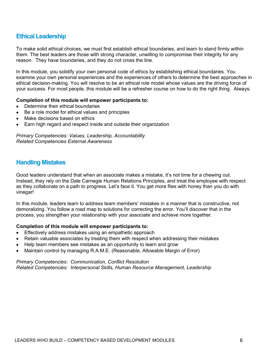### Ethical Leadership

To make solid ethical choices, we must first establish ethical boundaries, and learn to stand firmly within them. The best leaders are those with strong character, unwilling to compromise their integrity for any reason. They have boundaries, and they do not cross the line.

In this module, you solidify your own personal code of ethics by establishing ethical boundaries. You examine your own personal experiences and the experiences of others to determine the best approaches in ethical decision-making. You will resolve to be an ethical role model whose values are the driving force of your success. For most people, this module will be a refresher course on how to do the right thing. Always.

#### Completion of this module will empower participants to:

- Determine their ethical boundaries
- Be a role model for ethical values and principles
- Make decisions based on ethics
- Earn high regard and respect inside and outside their organization

Primary Competencies: Values, Leadership, Accountability Related Competencies External Awareness

### Handling Mistakes

Good leaders understand that when an associate makes a mistake, it's not time for a chewing out. Instead, they rely on the Dale Carnegie Human Relations Principles, and treat the employee with respect as they collaborate on a path to progress. Let's face it. You get more flies with honey than you do with vinegar!

In this module, leaders learn to address team members' mistakes in a manner that is constructive, not demoralizing. You follow a road map to solutions for correcting the error. You'll discover that in the process, you strengthen your relationship with your associate and achieve more together.

### Completion of this module will empower participants to:

- **Effectively address mistakes using an empathetic approach**
- Retain valuable associates by treating them with respect when addressing their mistakes
- Help team members see mistakes as an opportunity to learn and grow
- Maintain control by managing R.A.M.E. (Reasonable, Allowable Margin of Error)

Primary Competencies: Communication, Conflict Resolution Related Competencies: Interpersonal Skills, Human Resource Management, Leadership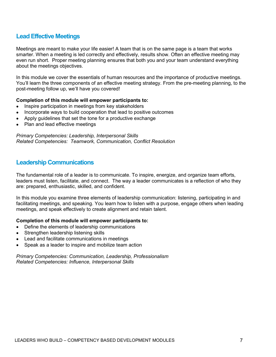### Lead Effective Meetings

Meetings are meant to make your life easier! A team that is on the same page is a team that works smarter. When a meeting is led correctly and effectively, results show. Often an effective meeting may even run short. Proper meeting planning ensures that both you and your team understand everything about the meetings objectives.

In this module we cover the essentials of human resources and the importance of productive meetings. You'll learn the three components of an effective meeting strategy. From the pre-meeting planning, to the post-meeting follow up, we'll have you covered!

#### Completion of this module will empower participants to:

- Inspire participation in meetings from key stakeholders
- Incorporate ways to build cooperation that lead to positive outcomes
- Apply guidelines that set the tone for a productive exchange
- Plan and lead effective meetings

Primary Competencies: Leadership, Interpersonal Skills Related Competencies: Teamwork, Communication, Conflict Resolution

### Leadership Communications

The fundamental role of a leader is to communicate. To inspire, energize, and organize team efforts, leaders must listen, facilitate, and connect. The way a leader communicates is a reflection of who they are: prepared, enthusiastic, skilled, and confident.

In this module you examine three elements of leadership communication: listening, participating in and facilitating meetings, and speaking. You learn how to listen with a purpose, engage others when leading meetings, and speak effectively to create alignment and retain talent.

#### Completion of this module will empower participants to:

- Define the elements of leadership communications
- Strengthen leadership listening skills
- Lead and facilitate communications in meetings
- Speak as a leader to inspire and mobilize team action

Primary Competencies: Communication, Leadership, Professionalism Related Competencies: Influence, Interpersonal Skills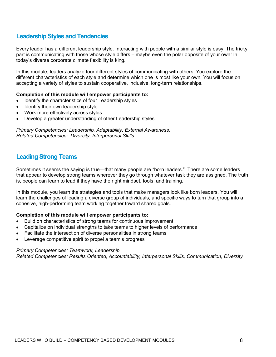# Leadership Styles and Tendencies

Every leader has a different leadership style. Interacting with people with a similar style is easy. The tricky part is communicating with those whose style differs – maybe even the polar opposite of your own! In today's diverse corporate climate flexibility is king.

In this module, leaders analyze four different styles of communicating with others. You explore the different characteristics of each style and determine which one is most like your own. You will focus on accepting a variety of styles to sustain cooperative, inclusive, long-term relationships.

### Completion of this module will empower participants to:

- Identify the characteristics of four Leadership styles
- $\bullet$  Identify their own leadership style
- Work more effectively across styles
- Develop a greater understanding of other Leadership styles

Primary Competencies: Leadership, Adaptability, External Awareness, Related Competencies: Diversity, Interpersonal Skills

# Leading Strong Teams

Sometimes it seems the saying is true—that many people are "born leaders." There are some leaders that appear to develop strong teams wherever they go through whatever task they are assigned. The truth is, people can learn to lead if they have the right mindset, tools, and training.

In this module, you learn the strategies and tools that make managers look like born leaders. You will learn the challenges of leading a diverse group of individuals, and specific ways to turn that group into a cohesive, high-performing team working together toward shared goals.

### Completion of this module will empower participants to:

- Build on characteristics of strong teams for continuous improvement
- Capitalize on individual strengths to take teams to higher levels of performance
- Facilitate the intersection of diverse personalities in strong teams
- Leverage competitive spirit to propel a team's progress

#### Primary Competencies: Teamwork, Leadership

Related Competencies: Results Oriented, Accountability, Interpersonal Skills, Communication, Diversity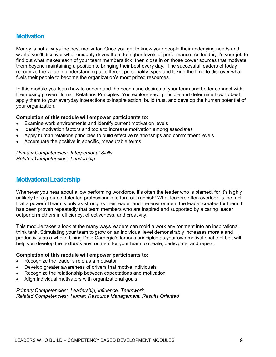### **Motivation**

Money is not always the best motivator. Once you get to know your people their underlying needs and wants, you'll discover what uniquely drives them to higher levels of performance. As leader, it's your job to find out what makes each of your team members tick, then close in on those power sources that motivate them beyond maintaining a position to bringing their best every day. The successful leaders of today recognize the value in understanding all different personality types and taking the time to discover what fuels their people to become the organization's most prized resources.

In this module you learn how to understand the needs and desires of your team and better connect with them using proven Human Relations Principles. You explore each principle and determine how to best apply them to your everyday interactions to inspire action, build trust, and develop the human potential of your organization.

#### Completion of this module will empower participants to:

- Examine work environments and identify current motivation levels
- Identify motivation factors and tools to increase motivation among associates
- Apply human relations principles to build effective relationships and commitment levels
- Accentuate the positive in specific, measurable terms

Primary Competencies: Interpersonal Skills Related Competencies: Leadership

### Motivational Leadership

Whenever you hear about a low performing workforce, it's often the leader who is blamed, for it's highly unlikely for a group of talented professionals to turn out rubbish! What leaders often overlook is the fact that a powerful team is only as strong as their leader and the environment the leader creates for them. It has been proven repeatedly that team members who are inspired and supported by a caring leader outperform others in efficiency, effectiveness, and creativity.

This module takes a look at the many ways leaders can mold a work environment into an inspirational think tank. Stimulating your team to grow on an individual level demonstrably increases morale and productivity as a whole. Using Dale Carnegie's famous principles as your own motivational tool belt will help you develop the textbook environment for your team to create, participate, and repeat.

#### Completion of this module will empower participants to:

- Recognize the leader's role as a motivator
- Develop greater awareness of drivers that motive individuals
- Recognize the relationship between expectations and motivation
- Align individual motivators with organizational goals

Primary Competencies: Leadership, Influence, Teamwork Related Competencies: Human Resource Management, Results Oriented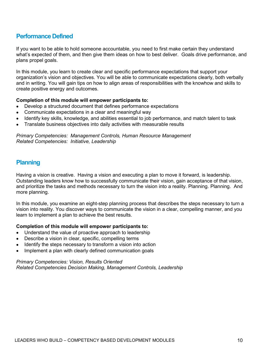### Performance Defined

If you want to be able to hold someone accountable, you need to first make certain they understand what's expected of them, and then give them ideas on how to best deliver. Goals drive performance, and plans propel goals.

In this module, you learn to create clear and specific performance expectations that support your organization's vision and objectives. You will be able to communicate expectations clearly, both verbally and in writing. You will gain tips on how to align areas of responsibilities with the knowhow and skills to create positive energy and outcomes.

#### Completion of this module will empower participants to:

- Develop a structured document that defines performance expectations
- Communicate expectations in a clear and meaningful way
- Identify key skills, knowledge, and abilities essential to job performance, and match talent to task
- Translate business objectives into daily activities with measurable results

Primary Competencies: Management Controls, Human Resource Management Related Competencies: Initiative, Leadership

### **Planning**

Having a vision is creative. Having a vision and executing a plan to move it forward, is leadership. Outstanding leaders know how to successfully communicate their vision, gain acceptance of that vision, and prioritize the tasks and methods necessary to turn the vision into a reality. Planning. Planning. And more planning.

In this module, you examine an eight-step planning process that describes the steps necessary to turn a vision into reality. You discover ways to communicate the vision in a clear, compelling manner, and you learn to implement a plan to achieve the best results.

#### Completion of this module will empower participants to:

- Understand the value of proactive approach to leadership
- Describe a vision in clear, specific, compelling terms
- Identify the steps necessary to transform a vision into action
- Implement a plan with clearly defined communication goals

Primary Competencies: Vision, Results Oriented Related Competencies Decision Making, Management Controls, Leadership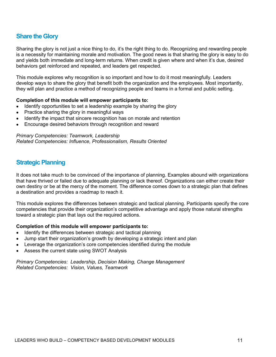# Share the Glory

Sharing the glory is not just a nice thing to do, it's the right thing to do. Recognizing and rewarding people is a necessity for maintaining morale and motivation. The good news is that sharing the glory is easy to do and yields both immediate and long-term returns. When credit is given where and when it's due, desired behaviors get reinforced and repeated, and leaders get respected.

This module explores why recognition is so important and how to do it most meaningfully. Leaders develop ways to share the glory that benefit both the organization and the employees. Most importantly, they will plan and practice a method of recognizing people and teams in a formal and public setting.

#### Completion of this module will empower participants to:

- Identify opportunities to set a leadership example by sharing the glory
- Practice sharing the glory in meaningful ways
- Identify the impact that sincere recognition has on morale and retention
- Encourage desired behaviors through recognition and reward

Primary Competencies: Teamwork, Leadership Related Competencies: Influence, Professionalism, Results Oriented

### Strategic Planning

It does not take much to be convinced of the importance of planning. Examples abound with organizations that have thrived or failed due to adequate planning or lack thereof. Organizations can either create their own destiny or be at the mercy of the moment. The difference comes down to a strategic plan that defines a destination and provides a roadmap to reach it.

This module explores the differences between strategic and tactical planning. Participants specify the core competencies that provide their organization's competitive advantage and apply those natural strengths toward a strategic plan that lays out the required actions.

### Completion of this module will empower participants to:

- Identify the differences between strategic and tactical planning
- Jump start their organization's growth by developing a strategic intent and plan
- Leverage the organization's core competencies identified during the module
- Assess the current state using SWOT Analysis

Primary Competencies: Leadership, Decision Making, Change Management Related Competencies: Vision, Values, Teamwork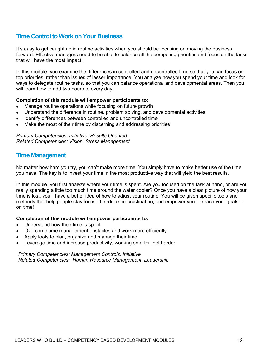# Time Control to Work on Your Business

It's easy to get caught up in routine activities when you should be focusing on moving the business forward. Effective managers need to be able to balance all the competing priorities and focus on the tasks that will have the most impact.

In this module, you examine the differences in controlled and uncontrolled time so that you can focus on top priorities, rather than issues of lesser importance. You analyze how you spend your time and look for ways to delegate routine tasks, so that you can balance operational and developmental areas. Then you will learn how to add two hours to every day.

### Completion of this module will empower participants to:

- Manage routine operations while focusing on future growth
- Understand the difference in routine, problem solving, and developmental activities
- Identify differences between controlled and uncontrolled time
- Make the most of their time by discerning and addressing priorities

Primary Competencies: Initiative, Results Oriented Related Competencies: Vision, Stress Management

### Time Management

No matter how hard you try, you can't make more time. You simply have to make better use of the time you have. The key is to invest your time in the most productive way that will yield the best results.

In this module, you first analyze where your time is spent. Are you focused on the task at hand, or are you really spending a little too much time around the water cooler? Once you have a clear picture of how your time is lost, you'll have a better idea of how to adjust your routine. You will be given specific tools and methods that help people stay focused, reduce procrastination, and empower you to reach your goals – on time!

### Completion of this module will empower participants to:

- Understand how their time is spent
- Overcome time management obstacles and work more efficiently
- Apply tools to plan, organize and manage their time
- Leverage time and increase productivity, working smarter, not harder

Primary Competencies: Management Controls, Initiative Related Competencies: Human Resource Management, Leadership